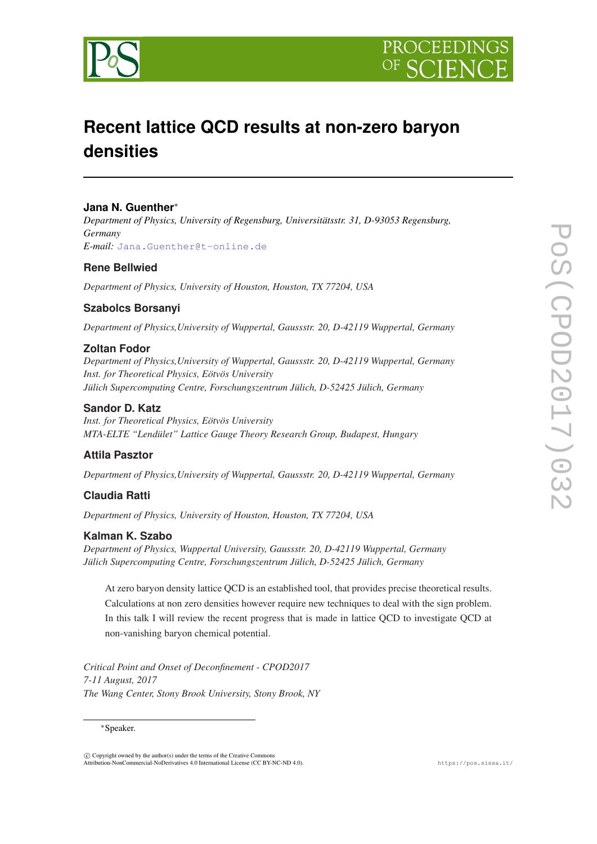



# **Recent lattice QCD results at non-zero baryon densities**

## **Jana N. Guenther**<sup>∗</sup>

*Department of Physics, University of Regensburg, Universitätsstr. 31, D-93053 Regensburg, Germany E-mail:* [Jana.Guenther@t-online.de](mailto:Jana.Guenther@t-online.de)

## **Rene Bellwied**

*Department of Physics, University of Houston, Houston, TX 77204, USA*

# **Szabolcs Borsanyi**

*Department of Physics,University of Wuppertal, Gaussstr. 20, D-42119 Wuppertal, Germany*

## **Zoltan Fodor**

*Department of Physics,University of Wuppertal, Gaussstr. 20, D-42119 Wuppertal, Germany Inst. for Theoretical Physics, Eötvös University Jülich Supercomputing Centre, Forschungszentrum Jülich, D-52425 Jülich, Germany*

## **Sandor D. Katz**

*Inst. for Theoretical Physics, Eötvös University MTA-ELTE "Lendület" Lattice Gauge Theory Research Group, Budapest, Hungary*

# **Attila Pasztor**

*Department of Physics,University of Wuppertal, Gaussstr. 20, D-42119 Wuppertal, Germany*

# **Claudia Ratti**

*Department of Physics, University of Houston, Houston, TX 77204, USA*

# **Kalman K. Szabo**

*Department of Physics, Wuppertal University, Gaussstr. 20, D-42119 Wuppertal, Germany Jülich Supercomputing Centre, Forschungszentrum Jülich, D-52425 Jülich, Germany*

At zero baryon density lattice QCD is an established tool, that provides precise theoretical results. Calculations at non zero densities however require new techniques to deal with the sign problem. In this talk I will review the recent progress that is made in lattice QCD to investigate QCD at non-vanishing baryon chemical potential.

*Critical Point and Onset of Deconfinement - CPOD2017 7-11 August, 2017 The Wang Center, Stony Brook University, Stony Brook, NY*

#### <sup>∗</sup>Speaker.

 $\overline{c}$  Copyright owned by the author(s) under the terms of the Creative Commons Attribution-NonCommercial-NoDerivatives 4.0 International License (CC BY-NC-ND 4.0). https://pos.sissa.it/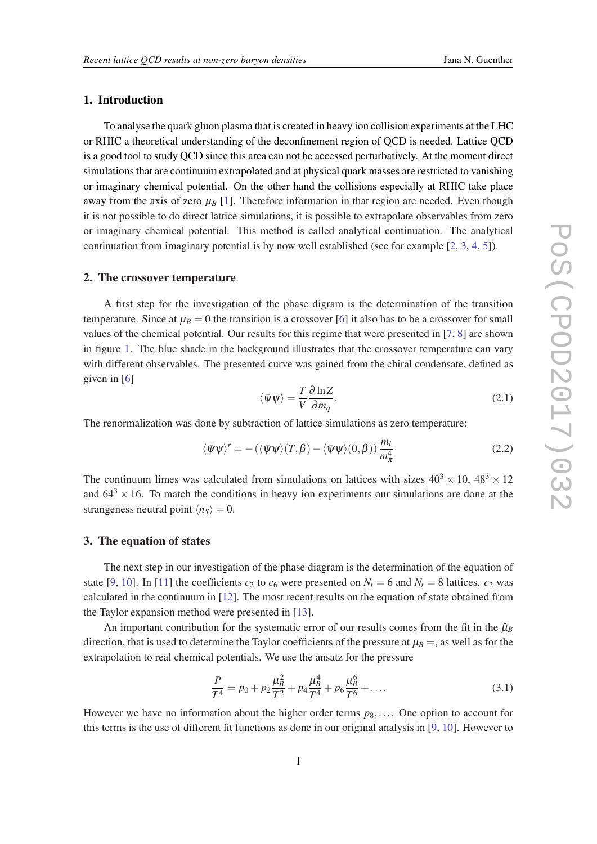### <span id="page-1-0"></span>1. Introduction

To analyse the quark gluon plasma that is created in heavy ion collision experiments at the LHC or RHIC a theoretical understanding of the deconfinement region of QCD is needed. Lattice QCD is a good tool to study QCD since this area can not be accessed perturbatively. At the moment direct simulations that are continuum extrapolated and at physical quark masses are restricted to vanishing or imaginary chemical potential. On the other hand the collisions especially at RHIC take place away from the axis of zero  $\mu_B$  [\[1\]](#page-9-0). Therefore information in that region are needed. Even though it is not possible to do direct lattice simulations, it is possible to extrapolate observables from zero or imaginary chemical potential. This method is called analytical continuation. The analytical continuation from imaginary potential is by now well established (see for example [[2](#page-9-0), [3](#page-9-0), [4](#page-9-0), [5](#page-9-0)]).

#### 2. The crossover temperature

A first step for the investigation of the phase digram is the determination of the transition temperature. Since at  $\mu_B = 0$  the transition is a crossover [\[6\]](#page-9-0) it also has to be a crossover for small values of the chemical potential. Our results for this regime that were presented in [[7,](#page-10-0) [8\]](#page-10-0) are shown in figure [1](#page-2-0). The blue shade in the background illustrates that the crossover temperature can vary with different observables. The presented curve was gained from the chiral condensate, defined as given in [[6](#page-9-0)]

$$
\langle \bar{\psi}\psi \rangle = \frac{T}{V} \frac{\partial \ln Z}{\partial m_q}.
$$
 (2.1)

The renormalization was done by subtraction of lattice simulations as zero temperature:

$$
\langle \bar{\psi}\psi \rangle^r = -(\langle \bar{\psi}\psi \rangle (T,\beta) - \langle \bar{\psi}\psi \rangle (0,\beta)) \frac{m_l}{m_\pi^4}
$$
 (2.2)

The continuum limes was calculated from simulations on lattices with sizes  $40^3 \times 10$ ,  $48^3 \times 12$ and  $64^3 \times 16$ . To match the conditions in heavy ion experiments our simulations are done at the strangeness neutral point  $\langle n_S \rangle = 0$ .

#### 3. The equation of states

The next step in our investigation of the phase diagram is the determination of the equation of state [[9](#page-10-0), [10\]](#page-10-0). In [[11\]](#page-10-0) the coefficients  $c_2$  to  $c_6$  were presented on  $N_t = 6$  and  $N_t = 8$  lattices.  $c_2$  was calculated in the continuum in [[12](#page-10-0)]. The most recent results on the equation of state obtained from the Taylor expansion method were presented in [[13\]](#page-10-0).

An important contribution for the systematic error of our results comes from the fit in the  $\hat{\mu}_B$ direction, that is used to determine the Taylor coefficients of the pressure at  $\mu_B =$ , as well as for the extrapolation to real chemical potentials. We use the ansatz for the pressure

$$
\frac{P}{T^4} = p_0 + p_2 \frac{\mu_B^2}{T^2} + p_4 \frac{\mu_B^4}{T^4} + p_6 \frac{\mu_B^6}{T^6} + \dots
$$
 (3.1)

However we have no information about the higher order terms  $p_8, \ldots$ . One option to account for this terms is the use of different fit functions as done in our original analysis in [\[9,](#page-10-0) [10\]](#page-10-0). However to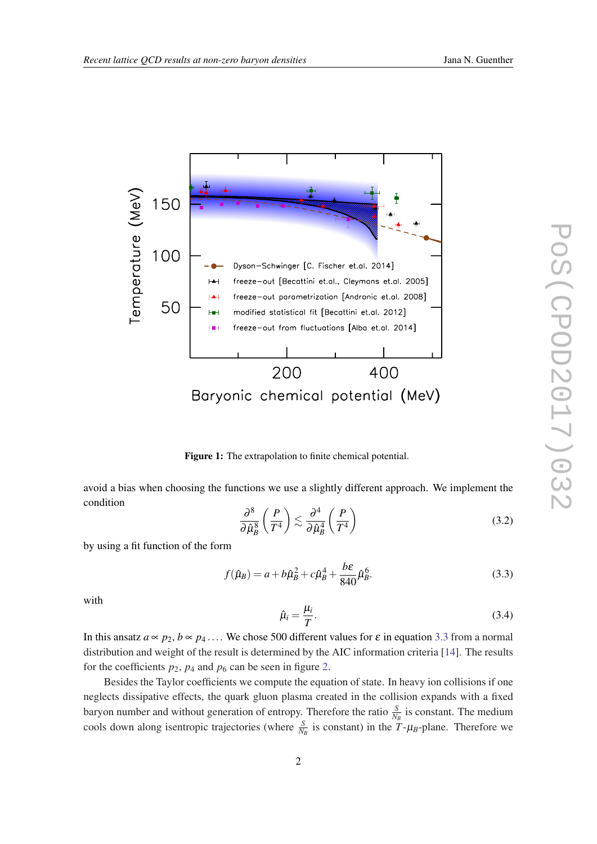<span id="page-2-0"></span>

Figure 1: The extrapolation to finite chemical potential.

avoid a bias when choosing the functions we use a slightly different approach. We implement the condition

$$
\frac{\partial^8}{\partial \hat{\mu}_B^8} \left( \frac{P}{T^4} \right) \lesssim \frac{\partial^4}{\partial \hat{\mu}_B^4} \left( \frac{P}{T^4} \right) \tag{3.2}
$$

by using a fit function of the form

$$
f(\hat{\mu}_B) = a + b\hat{\mu}_B^2 + c\hat{\mu}_B^4 + \frac{b\epsilon}{840}\hat{\mu}_B^6.
$$
 (3.3)

with

$$
\hat{\mu}_i = \frac{\mu_i}{T}.\tag{3.4}
$$

In this ansatz  $a \propto p_2$ ,  $b \propto p_4$ .... We chose 500 different values for  $\varepsilon$  in equation 3.3 from a normal distribution and weight of the result is determined by the AIC information criteria [\[14](#page-10-0)]. The results for the coefficients  $p_2$  $p_2$ ,  $p_4$  and  $p_6$  can be seen in figure 2.

Besides the Taylor coefficients we compute the equation of state. In heavy ion collisions if one neglects dissipative effects, the quark gluon plasma created in the collision expands with a fixed baryon number and without generation of entropy. Therefore the ratio  $\frac{S}{N_B}$  is constant. The medium cools down along isentropic trajectories (where  $\frac{S}{N_B}$  is constant) in the  $\tilde{T}$ - $\mu_B$ -plane. Therefore we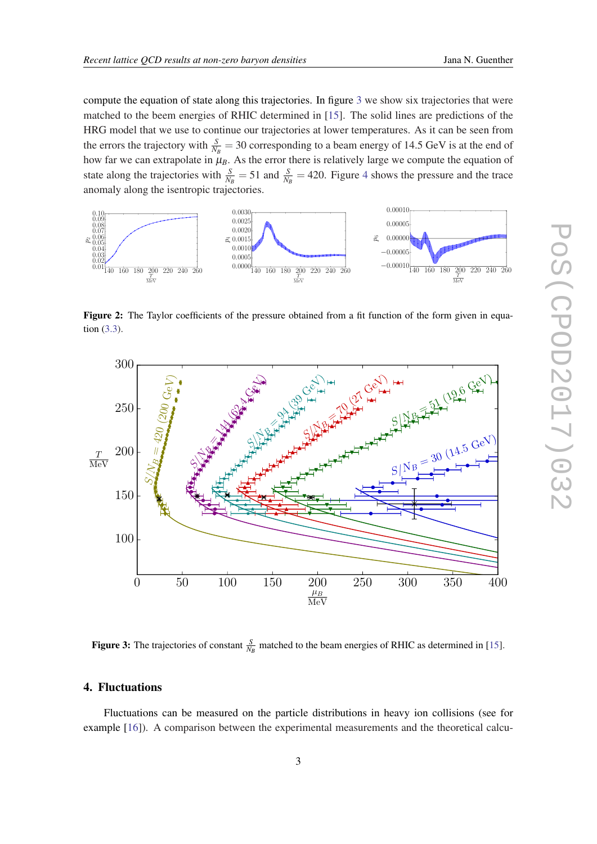<span id="page-3-0"></span>compute the equation of state along this trajectories. In figure 3 we show six trajectories that were matched to the beem energies of RHIC determined in [\[15](#page-10-0)]. The solid lines are predictions of the HRG model that we use to continue our trajectories at lower temperatures. As it can be seen from the errors the trajectory with  $\frac{S}{N_B}$  = 30 corresponding to a beam energy of 14.5 GeV is at the end of how far we can extrapolate in  $\mu_B$ . As the error there is relatively large we compute the equation of state along the trajectories with  $\frac{S}{N_B} = 51$  and  $\frac{S}{N_B} = 420$  $\frac{S}{N_B} = 420$  $\frac{S}{N_B} = 420$ . Figure 4 shows the pressure and the trace anomaly along the isentropic trajectories.



Figure 2: The Taylor coefficients of the pressure obtained from a fit function of the form given in equation ([3.3](#page-2-0)).



**Figure 3:** The trajectories of constant  $\frac{S}{N_B}$  matched to the beam energies of RHIC as determined in [[15\]](#page-10-0).

#### 4. Fluctuations

Fluctuations can be measured on the particle distributions in heavy ion collisions (see for example [\[16\]](#page-10-0)). A comparison between the experimental measurements and the theoretical calcu-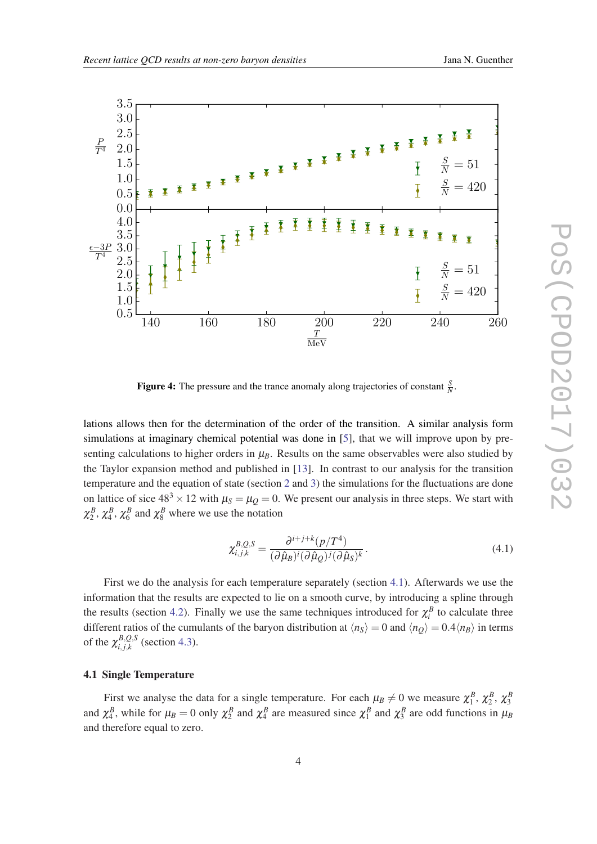<span id="page-4-0"></span>

Figure 4: The pressure and the trance anomaly along trajectories of constant  $\frac{S}{N}$ .

lations allows then for the determination of the order of the transition. A similar analysis form simulations at imaginary chemical potential was done in [\[5\]](#page-9-0), that we will improve upon by presenting calculations to higher orders in  $\mu_B$ . Results on the same observables were also studied by the Taylor expansion method and published in [\[13\]](#page-10-0). In contrast to our analysis for the transition temperature and the equation of state (section [2](#page-1-0) and [3](#page-1-0)) the simulations for the fluctuations are done on lattice of sice  $48^3 \times 12$  with  $\mu_S = \mu_Q = 0$ . We present our analysis in three steps. We start with  $\chi_2^B$ ,  $\chi_4^B$ ,  $\chi_6^B$  and  $\chi_8^B$  where we use the notation

$$
\chi_{i,j,k}^{B,Q,S} = \frac{\partial^{i+j+k}(p/T^4)}{(\partial \hat{\mu}_B)^i(\partial \hat{\mu}_Q)^j(\partial \hat{\mu}_S)^k}.
$$
\n(4.1)

First we do the analysis for each temperature separately (section 4.1). Afterwards we use the information that the results are expected to lie on a smooth curve, by introducing a spline through the results (section [4.2](#page-5-0)). Finally we use the same techniques introduced for  $\chi_i^B$  to calculate three different ratios of the cumulants of the baryon distribution at  $\langle n_S \rangle = 0$  and  $\langle n_Q \rangle = 0.4 \langle n_B \rangle$  in terms of the  $\chi^{B,Q,S}_{i,j,k}$  $\sum_{i,j,k}^{B,Q,\delta}$  (section [4.3\)](#page-6-0).

#### 4.1 Single Temperature

First we analyse the data for a single temperature. For each  $\mu_B \neq 0$  we measure  $\chi_1^B$ ,  $\chi_2^B$ ,  $\chi_3^B$ and  $\chi_4^B$ , while for  $\mu_B = 0$  only  $\chi_2^B$  and  $\chi_4^B$  are measured since  $\chi_1^B$  and  $\chi_3^B$  are odd functions in  $\mu_B$ and therefore equal to zero.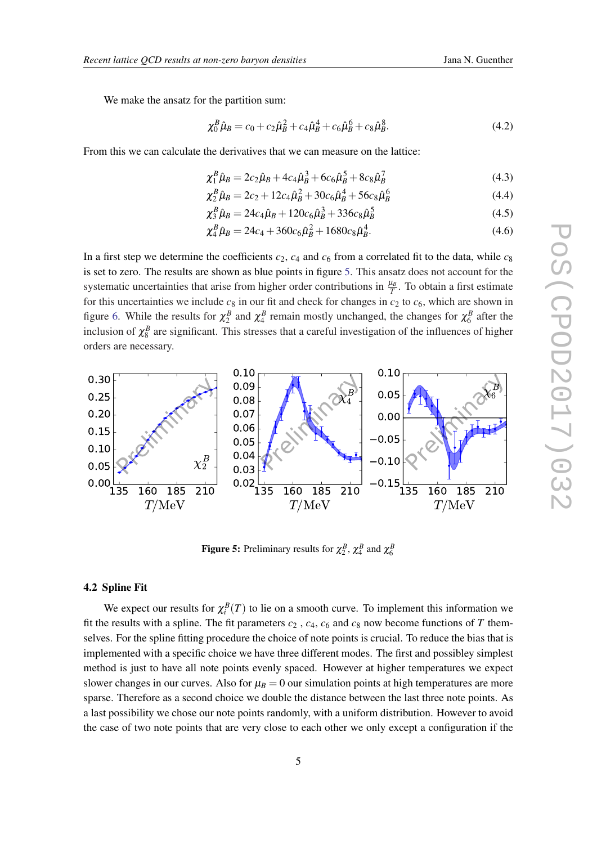<span id="page-5-0"></span>We make the ansatz for the partition sum:

$$
\chi_0^B \hat{\mu}_B = c_0 + c_2 \hat{\mu}_B^2 + c_4 \hat{\mu}_B^4 + c_6 \hat{\mu}_B^6 + c_8 \hat{\mu}_B^8. \tag{4.2}
$$

From this we can calculate the derivatives that we can measure on the lattice:

$$
\chi_1^B \hat{\mu}_B = 2c_2 \hat{\mu}_B + 4c_4 \hat{\mu}_B^3 + 6c_6 \hat{\mu}_B^5 + 8c_8 \hat{\mu}_B^7
$$
\n(4.3)

$$
\chi_2^B \hat{\mu}_B = 2c_2 + 12c_4 \hat{\mu}_B^2 + 30c_6 \hat{\mu}_B^4 + 56c_8 \hat{\mu}_B^6 \tag{4.4}
$$

$$
\chi_3^B \hat{\mu}_B = 24c_4 \hat{\mu}_B + 120c_6 \hat{\mu}_B^3 + 336c_8 \hat{\mu}_B^5 \tag{4.5}
$$

$$
\chi_4^B \hat{\mu}_B = 24c_4 + 360c_6 \hat{\mu}_B^2 + 1680c_8 \hat{\mu}_B^4. \tag{4.6}
$$

In a first step we determine the coefficients  $c_2$ ,  $c_4$  and  $c_6$  from a correlated fit to the data, while  $c_8$ is set to zero. The results are shown as blue points in figure 5. This ansatz does not account for the systematic uncertainties that arise from higher order contributions in  $\frac{\mu_B}{T}$ . To obtain a first estimate for this uncertainties we include  $c_8$  in our fit and check for changes in  $c_2$  to  $c_6$ , which are shown in figure [6](#page-6-0). While the results for  $\chi_2^B$  and  $\chi_4^B$  remain mostly unchanged, the changes for  $\chi_6^B$  after the inclusion of  $\chi_8^B$  are significant. This stresses that a careful investigation of the influences of higher orders are necessary.



**Figure 5:** Preliminary results for  $\chi_2^B$ ,  $\chi_4^B$  and  $\chi_6^B$ 

#### 4.2 Spline Fit

We expect our results for  $\chi_i^B(T)$  to lie on a smooth curve. To implement this information we fit the results with a spline. The fit parameters  $c_2$ ,  $c_4$ ,  $c_6$  and  $c_8$  now become functions of *T* themselves. For the spline fitting procedure the choice of note points is crucial. To reduce the bias that is implemented with a specific choice we have three different modes. The first and possibley simplest method is just to have all note points evenly spaced. However at higher temperatures we expect slower changes in our curves. Also for  $\mu_B = 0$  our simulation points at high temperatures are more sparse. Therefore as a second choice we double the distance between the last three note points. As a last possibility we chose our note points randomly, with a uniform distribution. However to avoid the case of two note points that are very close to each other we only except a configuration if the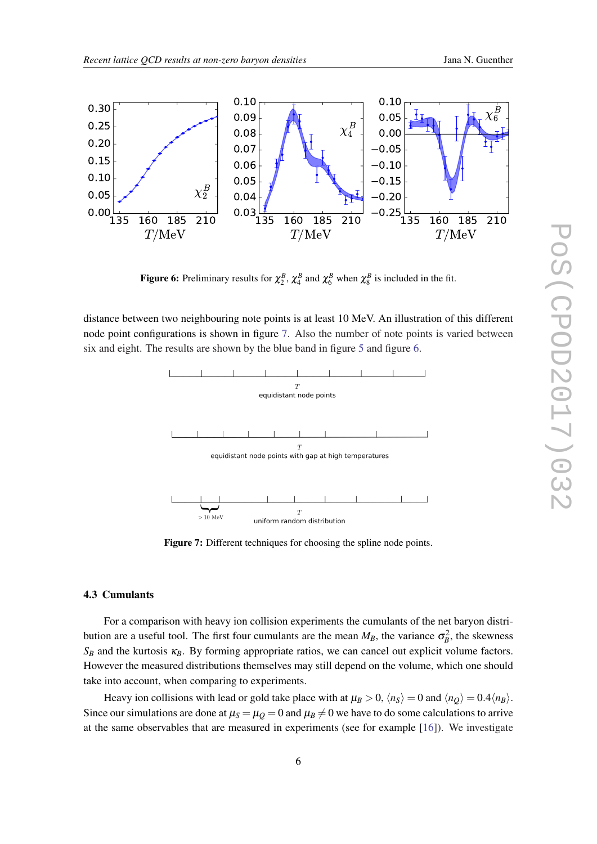<span id="page-6-0"></span>

Figure 6: Preliminary results for  $\chi_2^B$ ,  $\chi_4^B$  and  $\chi_6^B$  when  $\chi_8^B$  is included in the fit.

distance between two neighbouring note points is at least 10 MeV. An illustration of this different node point configurations is shown in figure 7. Also the number of note points is varied between six and eight. The results are shown by the blue band in figure [5](#page-5-0) and figure 6.



Figure 7: Different techniques for choosing the spline node points.

#### 4.3 Cumulants

For a comparison with heavy ion collision experiments the cumulants of the net baryon distribution are a useful tool. The first four cumulants are the mean  $M_B$ , the variance  $\sigma_B^2$ , the skewness  $S_B$  and the kurtosis  $\kappa_B$ . By forming appropriate ratios, we can cancel out explicit volume factors. However the measured distributions themselves may still depend on the volume, which one should take into account, when comparing to experiments.

Heavy ion collisions with lead or gold take place with at  $\mu_B > 0$ ,  $\langle n_S \rangle = 0$  and  $\langle n_Q \rangle = 0.4 \langle n_B \rangle$ . Since our simulations are done at  $\mu_S = \mu_O = 0$  and  $\mu_B \neq 0$  we have to do some calculations to arrive at the same observables that are measured in experiments (see for example [[16\]](#page-10-0)). We investigate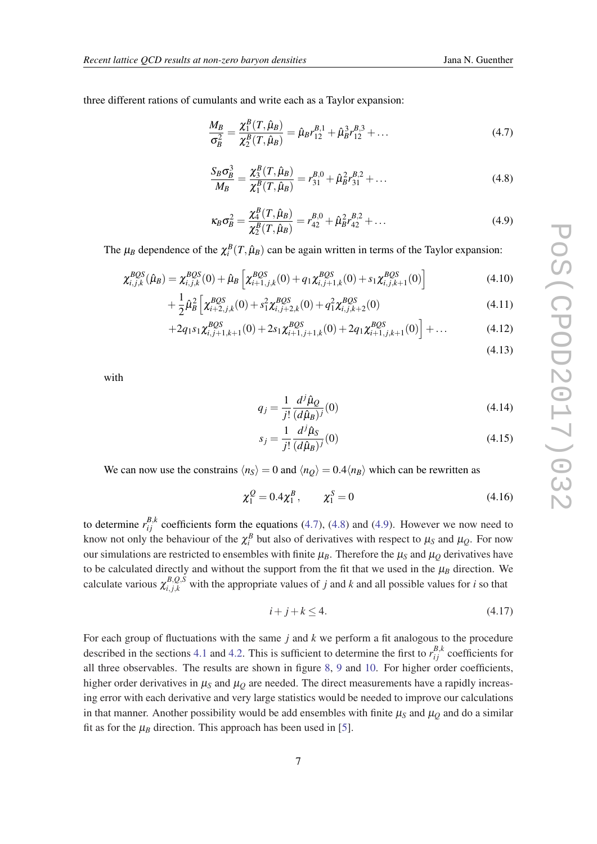three different rations of cumulants and write each as a Taylor expansion:

$$
\frac{M_B}{\sigma_B^2} = \frac{\chi_1^B(T, \hat{\mu}_B)}{\chi_2^B(T, \hat{\mu}_B)} = \hat{\mu}_B r_{12}^{B,1} + \hat{\mu}_B^3 r_{12}^{B,3} + \dots
$$
\n(4.7)

$$
\frac{S_B \sigma_B^3}{M_B} = \frac{\chi_3^B(T, \hat{\mu}_B)}{\chi_1^B(T, \hat{\mu}_B)} = r_{31}^{B,0} + \hat{\mu}_B^2 r_{31}^{B,2} + \dots
$$
\n(4.8)

$$
\kappa_B \sigma_B^2 = \frac{\chi_4^B(T, \hat{\mu}_B)}{\chi_2^B(T, \hat{\mu}_B)} = r_{42}^{B,0} + \hat{\mu}_B^2 r_{42}^{B,2} + \dots
$$
\n(4.9)

The  $\mu_B$  dependence of the  $\chi_i^B(T, \hat{\mu}_B)$  can be again written in terms of the Taylor expansion:

$$
\chi_{i,j,k}^{BQS}(\hat{\mu}_B) = \chi_{i,j,k}^{BQS}(0) + \hat{\mu}_B \left[ \chi_{i+1,j,k}^{BQS}(0) + q_1 \chi_{i,j+1,k}^{BQS}(0) + s_1 \chi_{i,j,k+1}^{BQS}(0) \right]
$$
(4.10)

$$
+\frac{1}{2}\hat{\mu}_{B}^{2}\left[\chi_{i+2,j,k}^{BQS}(0)+s_{1}^{2}\chi_{i,j+2,k}^{BQS}(0)+q_{1}^{2}\chi_{i,j,k+2}^{BQS}(0)\right]
$$
\n(4.11)

$$
+2q_1s_1\chi_{i,j+1,k+1}^{BQS}(0)+2s_1\chi_{i+1,j+1,k}^{BQS}(0)+2q_1\chi_{i+1,j,k+1}^{BQS}(0)\Big]+\dots
$$
 (4.12)

$$
(4.13)
$$

with

$$
q_j = \frac{1}{j!} \frac{d^j \hat{\mu}_Q}{(d \hat{\mu}_B)^j} (0)
$$
\n(4.14)

$$
s_j = \frac{1}{j!} \frac{d^j \hat{\mu}_S}{(d\hat{\mu}_B)^j} (0)
$$
\n(4.15)

We can now use the constrains  $\langle n_S \rangle = 0$  and  $\langle n_O \rangle = 0.4 \langle n_B \rangle$  which can be rewritten as

$$
\chi_1^Q = 0.4 \chi_1^B, \qquad \chi_1^S = 0 \tag{4.16}
$$

to determine  $r_{ij}^{B,k}$  coefficients form the equations (4.7), (4.8) and (4.9). However we now need to know not only the behaviour of the  $\chi_i^B$  but also of derivatives with respect to  $\mu_S$  and  $\mu_Q$ . For now our simulations are restricted to ensembles with finite  $\mu_B$ . Therefore the  $\mu_S$  and  $\mu_O$  derivatives have to be calculated directly and without the support from the fit that we used in the  $\mu_B$  direction. We calculate various  $\chi_{i,j,k}^{B,Q,S}$  with the appropriate values of *j* and *k* and all possible values for *i* so that

$$
i + j + k \le 4. \tag{4.17}
$$

For each group of fluctuations with the same *j* and *k* we perform a fit analogous to the procedure described in the sections [4.1](#page-4-0) and [4.2.](#page-5-0) This is sufficient to determine the first to  $r_{ij}^{B,k}$  coefficients for all three observables. The results are shown in figure [8](#page-8-0), [9](#page-8-0) and [10.](#page-8-0) For higher order coefficients, higher order derivatives in  $\mu_s$  and  $\mu_o$  are needed. The direct measurements have a rapidly increasing error with each derivative and very large statistics would be needed to improve our calculations in that manner. Another possibility would be add ensembles with finite  $\mu_s$  and  $\mu_o$  and do a similar fit as for the  $\mu_B$  direction. This approach has been used in [\[5](#page-9-0)].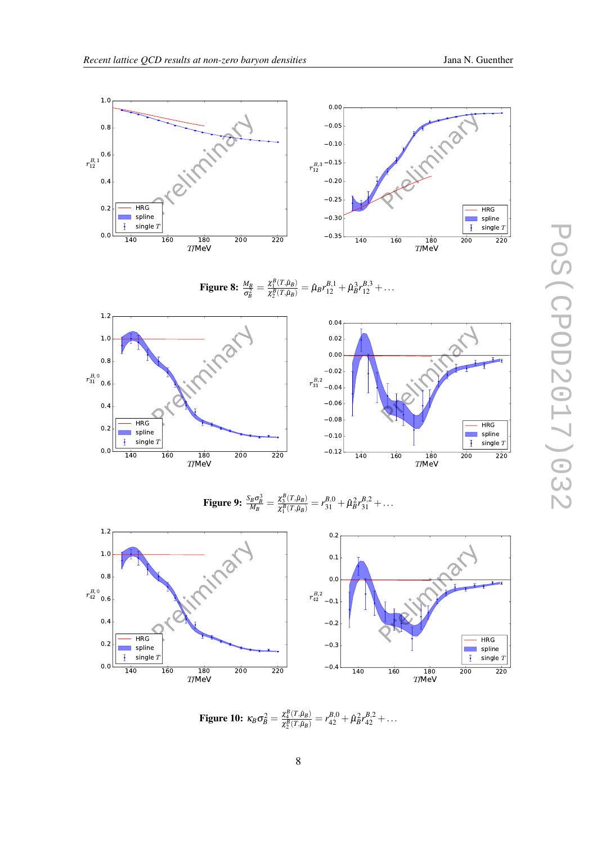<span id="page-8-0"></span>





**Figure 9:** 
$$
\frac{S_B \sigma_B^3}{M_B} = \frac{\chi_3^B(T, \hat{\mu}_B)}{\chi_1^B(T, \hat{\mu}_B)} = r_{31}^{B,0} + \hat{\mu}_B^2 r_{31}^{B,2} + \dots
$$



Figure 10:  $\kappa_B \sigma_B^2 = \frac{\chi_4^B(T,\hat{\mu}_B)}{\gamma_2^B(T,\hat{\mu}_B)}$  $\frac{\chi_4^B(T,\hat{\mu}_B)}{\chi_2^B(T,\hat{\mu}_B)} = r_{42}^{B,0} + \hat{\mu}_B^2 r_{42}^{B,2} + \ldots$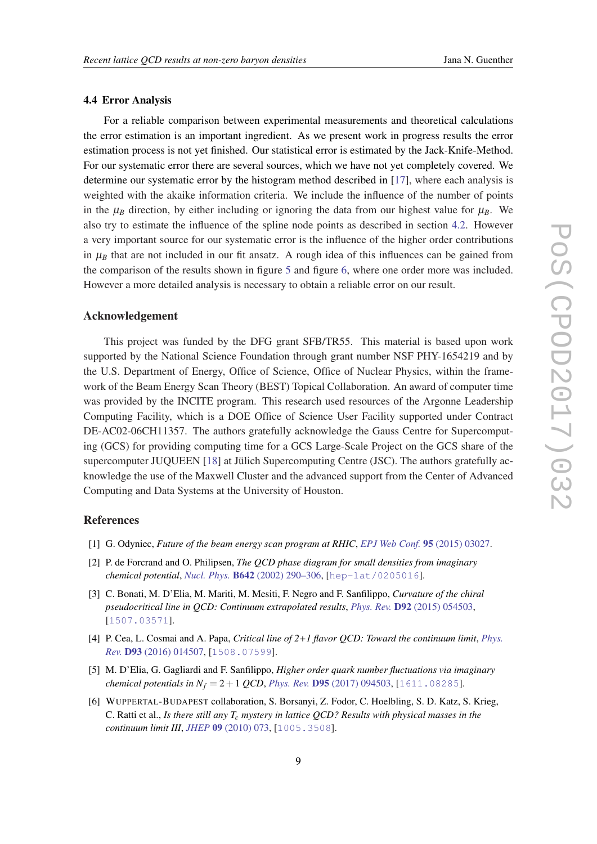#### <span id="page-9-0"></span>4.4 Error Analysis

For a reliable comparison between experimental measurements and theoretical calculations the error estimation is an important ingredient. As we present work in progress results the error estimation process is not yet finished. Our statistical error is estimated by the Jack-Knife-Method. For our systematic error there are several sources, which we have not yet completely covered. We determine our systematic error by the histogram method described in [\[17](#page-10-0)], where each analysis is weighted with the akaike information criteria. We include the influence of the number of points in the  $\mu_B$  direction, by either including or ignoring the data from our highest value for  $\mu_B$ . We also try to estimate the influence of the spline node points as described in section [4.2](#page-5-0). However a very important source for our systematic error is the influence of the higher order contributions in  $\mu_B$  that are not included in our fit ansatz. A rough idea of this influences can be gained from the comparison of the results shown in figure [5](#page-5-0) and figure [6,](#page-6-0) where one order more was included. However a more detailed analysis is necessary to obtain a reliable error on our result.

#### Acknowledgement

This project was funded by the DFG grant SFB/TR55. This material is based upon work supported by the National Science Foundation through grant number NSF PHY-1654219 and by the U.S. Department of Energy, Office of Science, Office of Nuclear Physics, within the framework of the Beam Energy Scan Theory (BEST) Topical Collaboration. An award of computer time was provided by the INCITE program. This research used resources of the Argonne Leadership Computing Facility, which is a DOE Office of Science User Facility supported under Contract DE-AC02-06CH11357. The authors gratefully acknowledge the Gauss Centre for Supercomputing (GCS) for providing computing time for a GCS Large-Scale Project on the GCS share of the supercomputer JUQUEEN [\[18\]](#page-10-0) at Jülich Supercomputing Centre (JSC). The authors gratefully acknowledge the use of the Maxwell Cluster and the advanced support from the Center of Advanced Computing and Data Systems at the University of Houston.

#### References

- [1] G. Odyniec, *Future of the beam energy scan program at RHIC*, *[EPJ Web Conf.](http://dx.doi.org/10.1051/epjconf/20149503027, 10.1051/epjconf/20159503027)* 95 (2015) 03027.
- [2] P. de Forcrand and O. Philipsen, *The QCD phase diagram for small densities from imaginary chemical potential*, *Nucl. Phys.* B642 [\(2002\) 290–306](http://dx.doi.org/10.1016/S0550-3213(02)00626-0), [[hep-lat/0205016](http://arxiv.org/abs/hep-lat/0205016)].
- [3] C. Bonati, M. D'Elia, M. Mariti, M. Mesiti, F. Negro and F. Sanfilippo, *Curvature of the chiral pseudocritical line in QCD: Continuum extrapolated results*, *Phys. Rev.* D92 [\(2015\) 054503,](http://dx.doi.org/10.1103/PhysRevD.92.054503) [[1507.03571](http://arxiv.org/abs/1507.03571)].
- [4] P. Cea, L. Cosmai and A. Papa, *Critical line of 2+1 flavor QCD: Toward the continuum limit*, *[Phys.](http://dx.doi.org/10.1103/PhysRevD.93.014507) Rev.* D93 [\(2016\) 014507,](http://dx.doi.org/10.1103/PhysRevD.93.014507) [[1508.07599](http://arxiv.org/abs/1508.07599)].
- [5] M. D'Elia, G. Gagliardi and F. Sanfilippo, *Higher order quark number fluctuations via imaginary chemical potentials in N<sub>f</sub>* = 2 + 1 *QCD*, *Phys. Rev.* **D95** [\(2017\) 094503,](http://dx.doi.org/10.1103/PhysRevD.95.094503) [[1611.08285](http://arxiv.org/abs/1611.08285)].
- [6] WUPPERTAL-BUDAPEST collaboration, S. Borsanyi, Z. Fodor, C. Hoelbling, S. D. Katz, S. Krieg, C. Ratti et al., *Is there still any T<sup>c</sup> mystery in lattice QCD? Results with physical masses in the continuum limit III*, *JHEP* 09 [\(2010\) 073](http://dx.doi.org/10.1007/JHEP09(2010)073), [[1005.3508](http://arxiv.org/abs/1005.3508)].